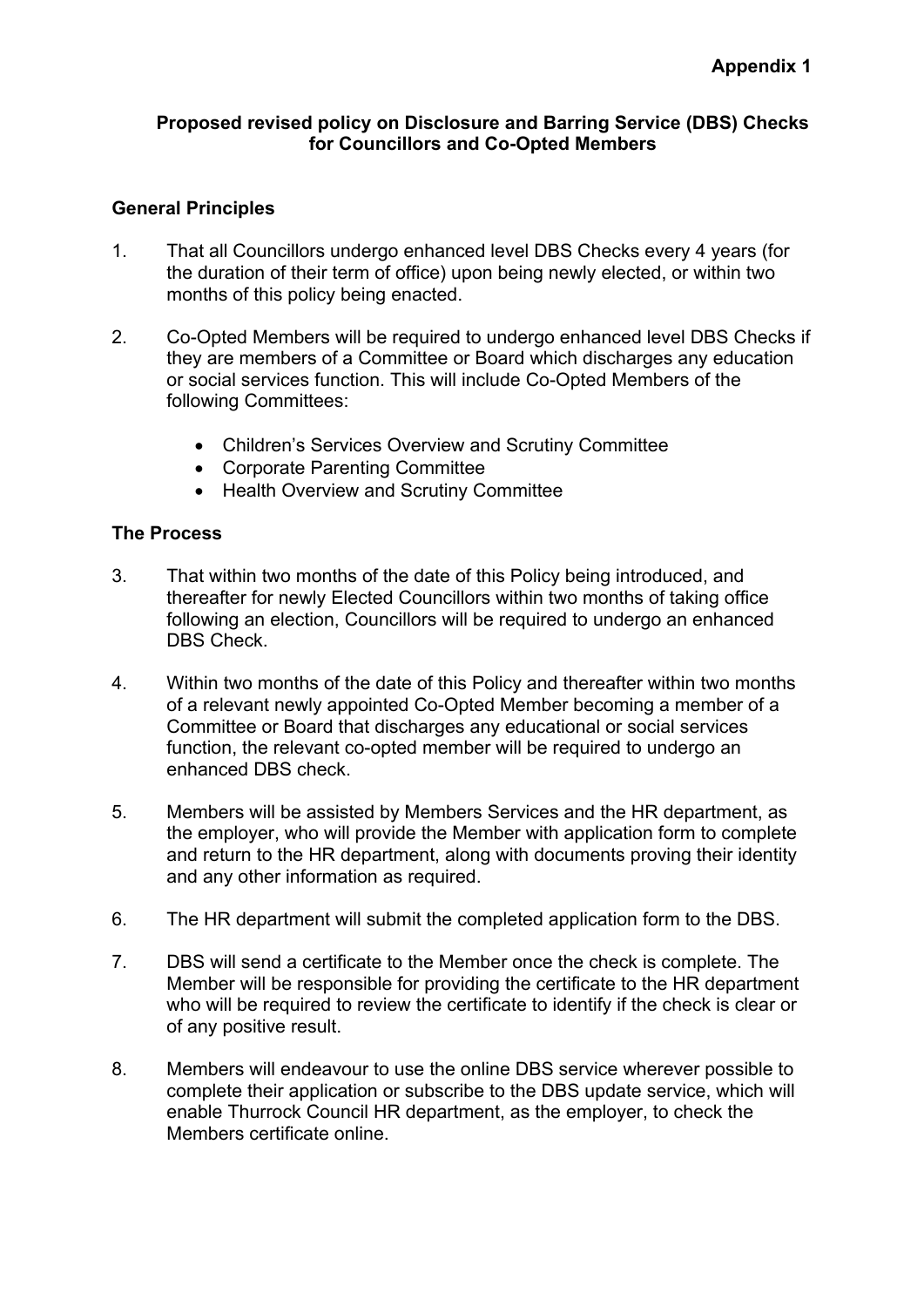### **Proposed revised policy on Disclosure and Barring Service (DBS) Checks for Councillors and Co-Opted Members**

### **General Principles**

- 1. That all Councillors undergo enhanced level DBS Checks every 4 years (for the duration of their term of office) upon being newly elected, or within two months of this policy being enacted.
- 2. Co-Opted Members will be required to undergo enhanced level DBS Checks if they are members of a Committee or Board which discharges any education or social services function. This will include Co-Opted Members of the following Committees:
	- Children's Services Overview and Scrutiny Committee
	- Corporate Parenting Committee
	- Health Overview and Scrutiny Committee

### **The Process**

- 3. That within two months of the date of this Policy being introduced, and thereafter for newly Elected Councillors within two months of taking office following an election, Councillors will be required to undergo an enhanced DBS Check.
- 4. Within two months of the date of this Policy and thereafter within two months of a relevant newly appointed Co-Opted Member becoming a member of a Committee or Board that discharges any educational or social services function, the relevant co-opted member will be required to undergo an enhanced DBS check.
- 5. Members will be assisted by Members Services and the HR department, as the employer, who will provide the Member with application form to complete and return to the HR department, along with documents proving their identity and any other information as required.
- 6. The HR department will submit the completed application form to the DBS.
- 7. DBS will send a certificate to the Member once the check is complete. The Member will be responsible for providing the certificate to the HR department who will be required to review the certificate to identify if the check is clear or of any positive result.
- 8. Members will endeavour to use the online DBS service wherever possible to complete their application or subscribe to the DBS update service, which will enable Thurrock Council HR department, as the employer, to check the Members certificate online.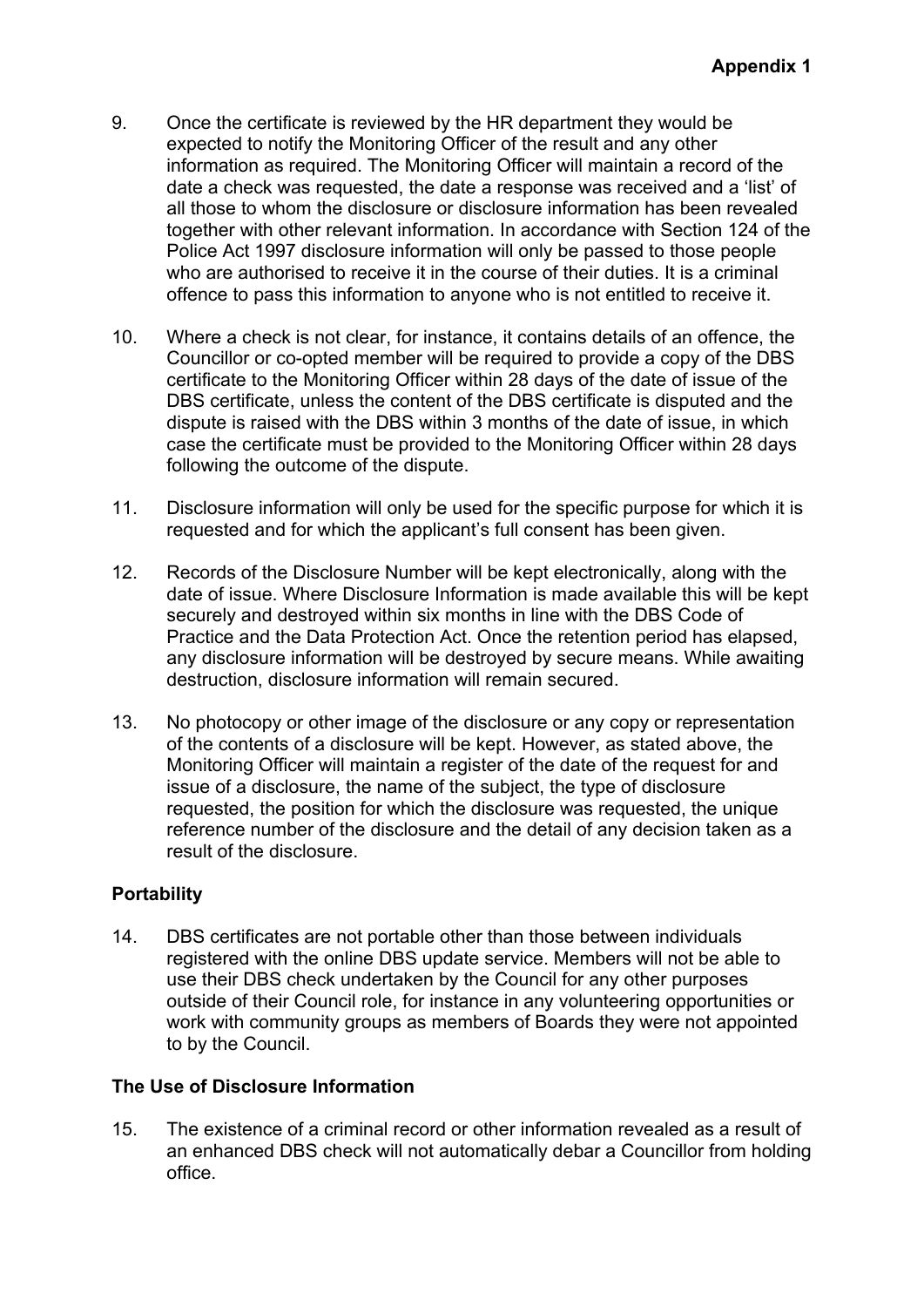- 9. Once the certificate is reviewed by the HR department they would be expected to notify the Monitoring Officer of the result and any other information as required. The Monitoring Officer will maintain a record of the date a check was requested, the date a response was received and a 'list' of all those to whom the disclosure or disclosure information has been revealed together with other relevant information. In accordance with Section 124 of the Police Act 1997 disclosure information will only be passed to those people who are authorised to receive it in the course of their duties. It is a criminal offence to pass this information to anyone who is not entitled to receive it.
- 10. Where a check is not clear, for instance, it contains details of an offence, the Councillor or co-opted member will be required to provide a copy of the DBS certificate to the Monitoring Officer within 28 days of the date of issue of the DBS certificate, unless the content of the DBS certificate is disputed and the dispute is raised with the DBS within 3 months of the date of issue, in which case the certificate must be provided to the Monitoring Officer within 28 days following the outcome of the dispute.
- 11. Disclosure information will only be used for the specific purpose for which it is requested and for which the applicant's full consent has been given.
- 12. Records of the Disclosure Number will be kept electronically, along with the date of issue. Where Disclosure Information is made available this will be kept securely and destroyed within six months in line with the DBS Code of Practice and the Data Protection Act. Once the retention period has elapsed, any disclosure information will be destroyed by secure means. While awaiting destruction, disclosure information will remain secured.
- 13. No photocopy or other image of the disclosure or any copy or representation of the contents of a disclosure will be kept. However, as stated above, the Monitoring Officer will maintain a register of the date of the request for and issue of a disclosure, the name of the subject, the type of disclosure requested, the position for which the disclosure was requested, the unique reference number of the disclosure and the detail of any decision taken as a result of the disclosure.

# **Portability**

14. DBS certificates are not portable other than those between individuals registered with the online DBS update service. Members will not be able to use their DBS check undertaken by the Council for any other purposes outside of their Council role, for instance in any volunteering opportunities or work with community groups as members of Boards they were not appointed to by the Council.

# **The Use of Disclosure Information**

15. The existence of a criminal record or other information revealed as a result of an enhanced DBS check will not automatically debar a Councillor from holding office.